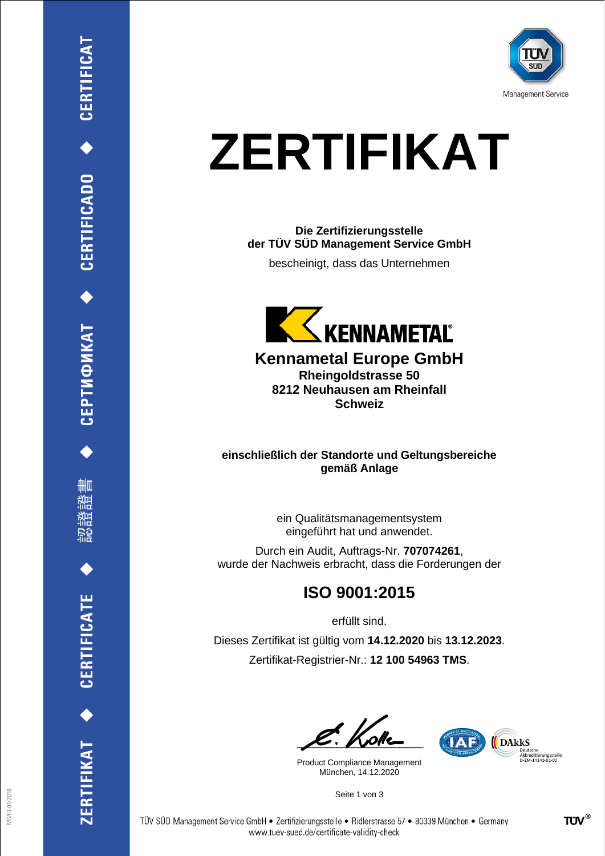

## **ZERTIFIKAT**

**Die Zertifizierungsstelle der TÜV SÜD Management Service GmbH**

bescheinigt, dass das Unternehmen



**Kennametal Europe GmbH Rheingoldstrasse 50 8212 Neuhausen am Rheinfall Schweiz**

**einschließlich der Standorte und Geltungsbereiche gemäß Anlage**

> ein Qualitätsmanagementsystem eingeführt hat und anwendet.

Durch ein Audit, Auftrags-Nr. **707074261**, wurde der Nachweis erbracht, dass die Forderungen der

### **ISO 9001:2015**

erfüllt sind.

Dieses Zertifikat ist gültig vom **14.12.2020** bis **13.12.2023**. Zertifikat-Registrier-Nr.: **12 100 54963 TMS**.

Product Compliance Management München, 14.12.2020



Seite 1 von 3

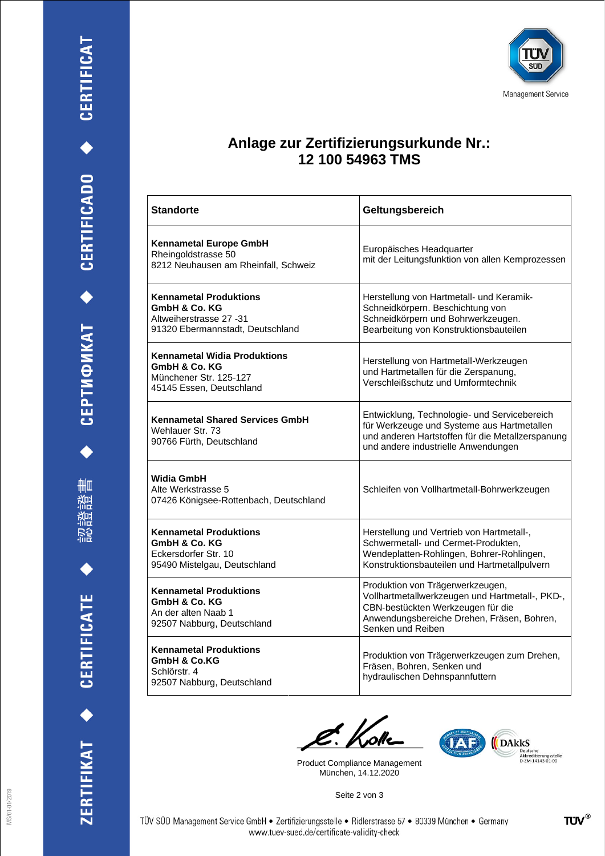







### **Anlage zur Zertifizierungsurkunde Nr.: 12 100 54963 TMS**

| <b>Standorte</b>                                                                                              | Geltungsbereich                                                                                                                                                                             |
|---------------------------------------------------------------------------------------------------------------|---------------------------------------------------------------------------------------------------------------------------------------------------------------------------------------------|
| <b>Kennametal Europe GmbH</b><br>Rheingoldstrasse 50<br>8212 Neuhausen am Rheinfall, Schweiz                  | Europäisches Headquarter<br>mit der Leitungsfunktion von allen Kernprozessen                                                                                                                |
| <b>Kennametal Produktions</b><br>GmbH & Co. KG<br>Altweiherstrasse 27 -31<br>91320 Ebermannstadt, Deutschland | Herstellung von Hartmetall- und Keramik-<br>Schneidkörpern. Beschichtung von<br>Schneidkörpern und Bohrwerkzeugen.<br>Bearbeitung von Konstruktionsbauteilen                                |
| Kennametal Widia Produktions<br>GmbH & Co. KG<br>Münchener Str. 125-127<br>45145 Essen, Deutschland           | Herstellung von Hartmetall-Werkzeugen<br>und Hartmetallen für die Zerspanung,<br>Verschleißschutz und Umformtechnik                                                                         |
| <b>Kennametal Shared Services GmbH</b><br>Wehlauer Str. 73<br>90766 Fürth, Deutschland                        | Entwicklung, Technologie- und Servicebereich<br>für Werkzeuge und Systeme aus Hartmetallen<br>und anderen Hartstoffen für die Metallzerspanung<br>und andere industrielle Anwendungen       |
| <b>Widia GmbH</b><br>Alte Werkstrasse 5<br>07426 Königsee-Rottenbach, Deutschland                             | Schleifen von Vollhartmetall-Bohrwerkzeugen                                                                                                                                                 |
| <b>Kennametal Produktions</b><br>GmbH & Co. KG<br>Eckersdorfer Str. 10<br>95490 Mistelgau, Deutschland        | Herstellung und Vertrieb von Hartmetall-,<br>Schwermetall- und Cermet-Produkten,<br>Wendeplatten-Rohlingen, Bohrer-Rohlingen,<br>Konstruktionsbauteilen und Hartmetallpulvern               |
| <b>Kennametal Produktions</b><br>GmbH & Co. KG<br>An der alten Naab 1<br>92507 Nabburg, Deutschland           | Produktion von Trägerwerkzeugen,<br>Vollhartmetallwerkzeugen und Hartmetall-, PKD-,<br>CBN-bestückten Werkzeugen für die<br>Anwendungsbereiche Drehen, Fräsen, Bohren,<br>Senken und Reiben |
| <b>Kennametal Produktions</b><br><b>GmbH &amp; Co.KG</b><br>Schlörstr. 4<br>92507 Nabburg, Deutschland        | Produktion von Trägerwerkzeugen zum Drehen,<br>Fräsen, Bohren, Senken und<br>hydraulischen Dehnspannfuttern                                                                                 |

Solk

Product Compliance Management München, 14.12.2020



Seite 2 von 3

www.tuev-sued.de/certificate-validity-check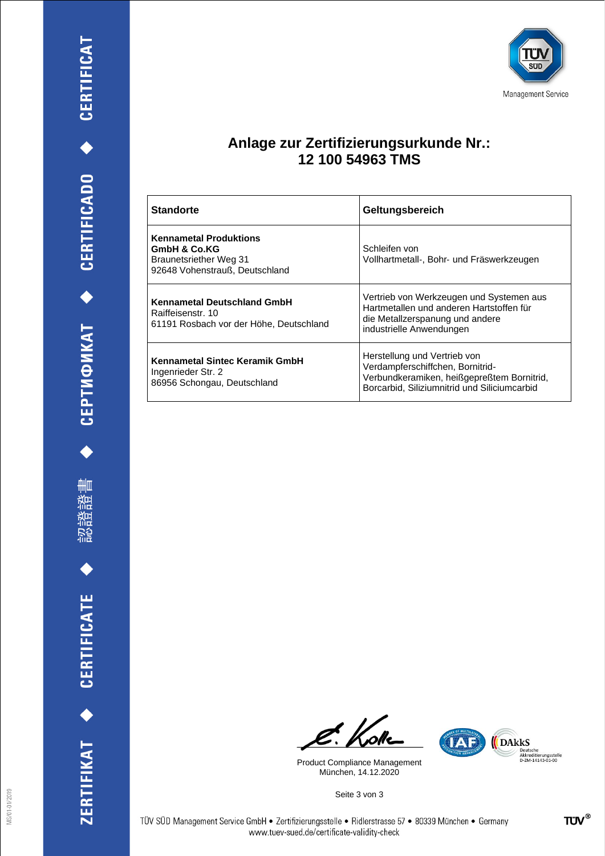

### **Anlage zur Zertifizierungsurkunde Nr.: 12 100 54963 TMS**

| <b>Standorte</b>                                                                                                 | Geltungsbereich                                                                                                                                                |
|------------------------------------------------------------------------------------------------------------------|----------------------------------------------------------------------------------------------------------------------------------------------------------------|
| <b>Kennametal Produktions</b><br>GmbH & Co.KG<br><b>Braunetsriether Weg 31</b><br>92648 Vohenstrauß, Deutschland | Schleifen von<br>Vollhartmetall-, Bohr- und Fräswerkzeugen                                                                                                     |
| <b>Kennametal Deutschland GmbH</b><br>Raiffeisenstr. 10<br>61191 Rosbach vor der Höhe, Deutschland               | Vertrieb von Werkzeugen und Systemen aus<br>Hartmetallen und anderen Hartstoffen für<br>die Metallzerspanung und andere<br>industrielle Anwendungen            |
| Kennametal Sintec Keramik GmbH<br>Ingenrieder Str. 2<br>86956 Schongau, Deutschland                              | Herstellung und Vertrieb von<br>Verdampferschiffchen, Bornitrid-<br>Verbundkeramiken, heißgepreßtem Bornitrid,<br>Borcarbid, Siliziumnitrid und Siliciumcarbid |





E. Koll

Product Compliance Management München, 14.12.2020

Seite 3 von 3



MS/01-01/2019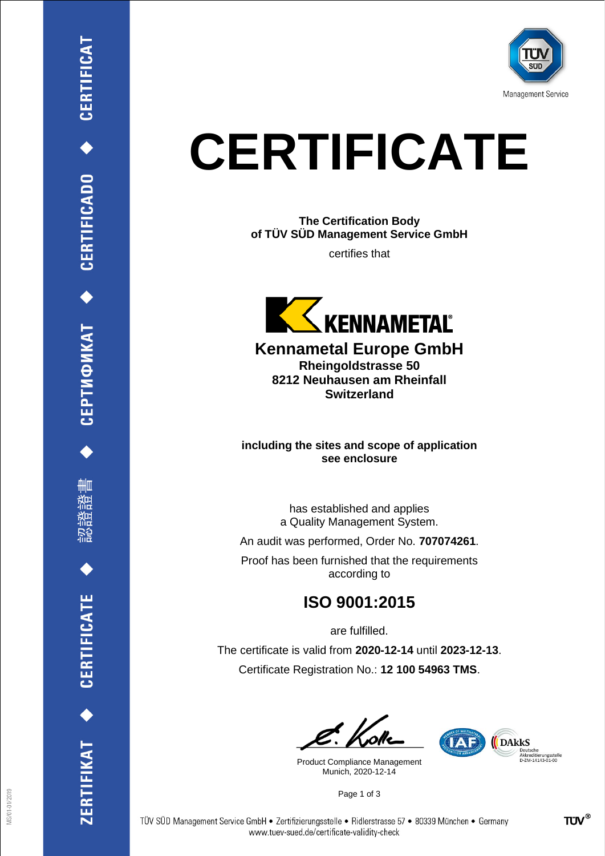

# **CERTIFICATE**

**The Certification Body of TÜV SÜD Management Service GmbH**

certifies that



**Kennametal Europe GmbH Rheingoldstrasse 50 8212 Neuhausen am Rheinfall Switzerland**

**including the sites and scope of application see enclosure**

> has established and applies a Quality Management System.

An audit was performed, Order No. **707074261**.

Proof has been furnished that the requirements according to

### **ISO 9001:2015**

are fulfilled.

The certificate is valid from **2020-12-14** until **2023-12-13**. Certificate Registration No.: **12 100 54963 TMS**.

Product Compliance Management Munich, 2020-12-14



Page 1 of 3

CEPTИФИКАТ ◆ CERTIFICADO ◆ CERTIFICAT

删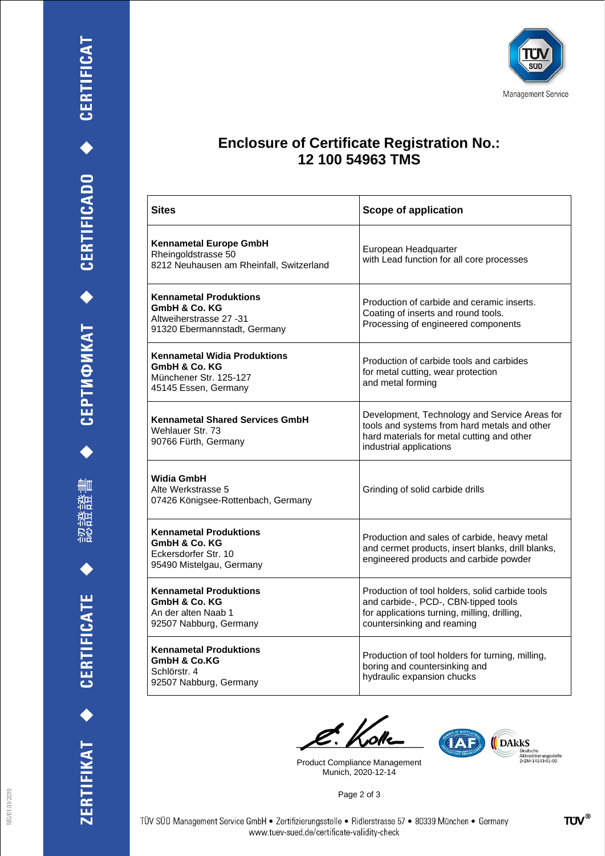





### **Enclosure of Certificate Registration No.: 12 100 54963 TMS**

| <b>Sites</b>                                                                                              | Scope of application                                                                                                                                                   |
|-----------------------------------------------------------------------------------------------------------|------------------------------------------------------------------------------------------------------------------------------------------------------------------------|
| <b>Kennametal Europe GmbH</b><br>Rheingoldstrasse 50<br>8212 Neuhausen am Rheinfall, Switzerland          | European Headquarter<br>with Lead function for all core processes                                                                                                      |
| <b>Kennametal Produktions</b><br>GmbH & Co. KG<br>Altweiherstrasse 27 -31<br>91320 Ebermannstadt, Germany | Production of carbide and ceramic inserts.<br>Coating of inserts and round tools.<br>Processing of engineered components                                               |
| <b>Kennametal Widia Produktions</b><br>GmbH & Co. KG<br>Münchener Str. 125-127<br>45145 Essen, Germany    | Production of carbide tools and carbides<br>for metal cutting, wear protection<br>and metal forming                                                                    |
| <b>Kennametal Shared Services GmbH</b><br>Wehlauer Str. 73<br>90766 Fürth, Germany                        | Development, Technology and Service Areas for<br>tools and systems from hard metals and other<br>hard materials for metal cutting and other<br>industrial applications |
| <b>Widia GmbH</b><br>Alte Werkstrasse 5<br>07426 Königsee-Rottenbach, Germany                             | Grinding of solid carbide drills                                                                                                                                       |
| <b>Kennametal Produktions</b><br>GmbH & Co. KG<br>Eckersdorfer Str. 10<br>95490 Mistelgau, Germany        | Production and sales of carbide, heavy metal<br>and cermet products, insert blanks, drill blanks,<br>engineered products and carbide powder                            |
| <b>Kennametal Produktions</b><br>GmbH & Co. KG<br>An der alten Naab 1<br>92507 Nabburg, Germany           | Production of tool holders, solid carbide tools<br>and carbide-, PCD-, CBN-tipped tools<br>for applications turning, milling, drilling,<br>countersinking and reaming  |
| <b>Kennametal Produktions</b><br><b>GmbH &amp; Co.KG</b><br>Schlörstr. 4<br>92507 Nabburg, Germany        | Production of tool holders for turning, milling,<br>boring and countersinking and<br>hydraulic expansion chucks                                                        |

jolle

Product Compliance Management Munich, 2020-12-14



Page 2 of 3